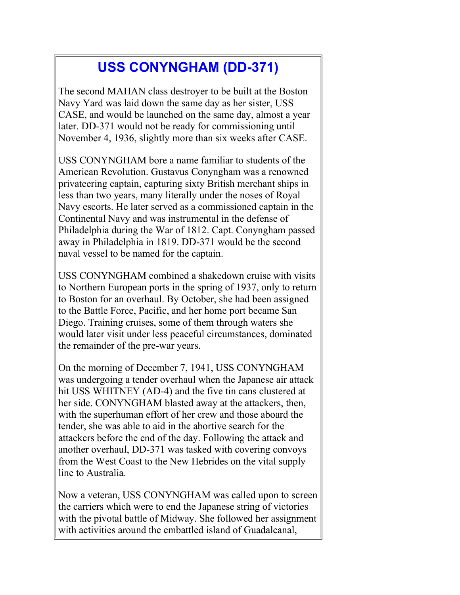## **USS CONYNGHAM (DD-371)**

The second MAHAN class destroyer to be built at the Boston Navy Yard was laid down the same day as her sister, USS CASE, and would be launched on the same day, almost a year later. DD-371 would not be ready for commissioning until November 4, 1936, slightly more than six weeks after CASE.

USS CONYNGHAM bore a name familiar to students of the American Revolution. Gustavus Conyngham was a renowned privateering captain, capturing sixty British merchant ships in less than two years, many literally under the noses of Royal Navy escorts. He later served as a commissioned captain in the Continental Navy and was instrumental in the defense of Philadelphia during the War of 1812. Capt. Conyngham passed away in Philadelphia in 1819. DD-371 would be the second naval vessel to be named for the captain.

USS CONYNGHAM combined a shakedown cruise with visits to Northern European ports in the spring of 1937, only to return to Boston for an overhaul. By October, she had been assigned to the Battle Force, Pacific, and her home port became San Diego. Training cruises, some of them through waters she would later visit under less peaceful circumstances, dominated the remainder of the pre-war years.

On the morning of December 7, 1941, USS CONYNGHAM was undergoing a tender overhaul when the Japanese air attack hit USS WHITNEY (AD-4) and the five tin cans clustered at her side. CONYNGHAM blasted away at the attackers, then, with the superhuman effort of her crew and those aboard the tender, she was able to aid in the abortive search for the attackers before the end of the day. Following the attack and another overhaul, DD-371 was tasked with covering convoys from the West Coast to the New Hebrides on the vital supply line to Australia.

Now a veteran, USS CONYNGHAM was called upon to screen the carriers which were to end the Japanese string of victories with the pivotal battle of Midway. She followed her assignment with activities around the embattled island of Guadalcanal,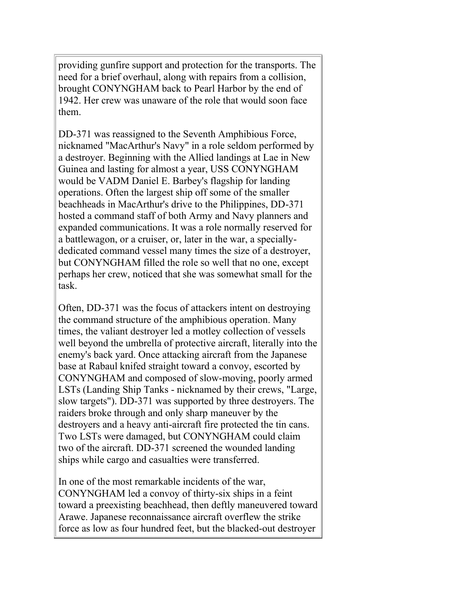providing gunfire support and protection for the transports. The need for a brief overhaul, along with repairs from a collision, brought CONYNGHAM back to Pearl Harbor by the end of 1942. Her crew was unaware of the role that would soon face them.

DD-371 was reassigned to the Seventh Amphibious Force, nicknamed "MacArthur's Navy" in a role seldom performed by a destroyer. Beginning with the Allied landings at Lae in New Guinea and lasting for almost a year, USS CONYNGHAM would be VADM Daniel E. Barbey's flagship for landing operations. Often the largest ship off some of the smaller beachheads in MacArthur's drive to the Philippines, DD-371 hosted a command staff of both Army and Navy planners and expanded communications. It was a role normally reserved for a battlewagon, or a cruiser, or, later in the war, a speciallydedicated command vessel many times the size of a destroyer, but CONYNGHAM filled the role so well that no one, except perhaps her crew, noticed that she was somewhat small for the task.

Often, DD-371 was the focus of attackers intent on destroying the command structure of the amphibious operation. Many times, the valiant destroyer led a motley collection of vessels well beyond the umbrella of protective aircraft, literally into the enemy's back yard. Once attacking aircraft from the Japanese base at Rabaul knifed straight toward a convoy, escorted by CONYNGHAM and composed of slow-moving, poorly armed LSTs (Landing Ship Tanks - nicknamed by their crews, "Large, slow targets"). DD-371 was supported by three destroyers. The raiders broke through and only sharp maneuver by the destroyers and a heavy anti-aircraft fire protected the tin cans. Two LSTs were damaged, but CONYNGHAM could claim two of the aircraft. DD-371 screened the wounded landing ships while cargo and casualties were transferred.

In one of the most remarkable incidents of the war, CONYNGHAM led a convoy of thirty-six ships in a feint toward a preexisting beachhead, then deftly maneuvered toward Arawe. Japanese reconnaissance aircraft overflew the strike force as low as four hundred feet, but the blacked-out destroyer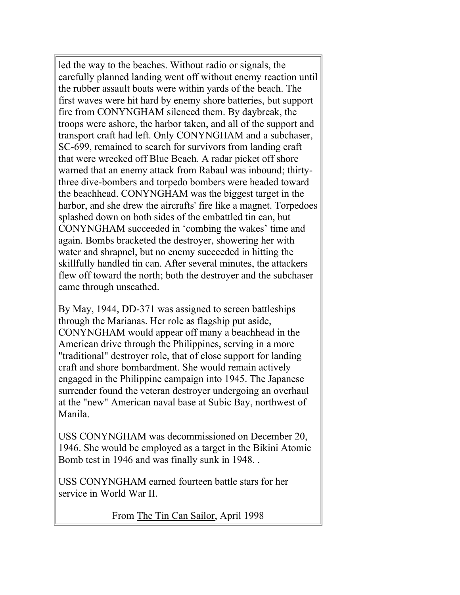led the way to the beaches. Without radio or signals, the carefully planned landing went off without enemy reaction until the rubber assault boats were within yards of the beach. The first waves were hit hard by enemy shore batteries, but support fire from CONYNGHAM silenced them. By daybreak, the troops were ashore, the harbor taken, and all of the support and transport craft had left. Only CONYNGHAM and a subchaser, SC-699, remained to search for survivors from landing craft that were wrecked off Blue Beach. A radar picket off shore warned that an enemy attack from Rabaul was inbound; thirtythree dive-bombers and torpedo bombers were headed toward the beachhead. CONYNGHAM was the biggest target in the harbor, and she drew the aircrafts' fire like a magnet. Torpedoes splashed down on both sides of the embattled tin can, but CONYNGHAM succeeded in 'combing the wakes' time and again. Bombs bracketed the destroyer, showering her with water and shrapnel, but no enemy succeeded in hitting the skillfully handled tin can. After several minutes, the attackers flew off toward the north; both the destroyer and the subchaser came through unscathed.

By May, 1944, DD-371 was assigned to screen battleships through the Marianas. Her role as flagship put aside, CONYNGHAM would appear off many a beachhead in the American drive through the Philippines, serving in a more "traditional" destroyer role, that of close support for landing craft and shore bombardment. She would remain actively engaged in the Philippine campaign into 1945. The Japanese surrender found the veteran destroyer undergoing an overhaul at the "new" American naval base at Subic Bay, northwest of Manila.

USS CONYNGHAM was decommissioned on December 20, 1946. She would be employed as a target in the Bikini Atomic Bomb test in 1946 and was finally sunk in 1948. .

USS CONYNGHAM earned fourteen battle stars for her service in World War II.

From The Tin Can Sailor, April 1998